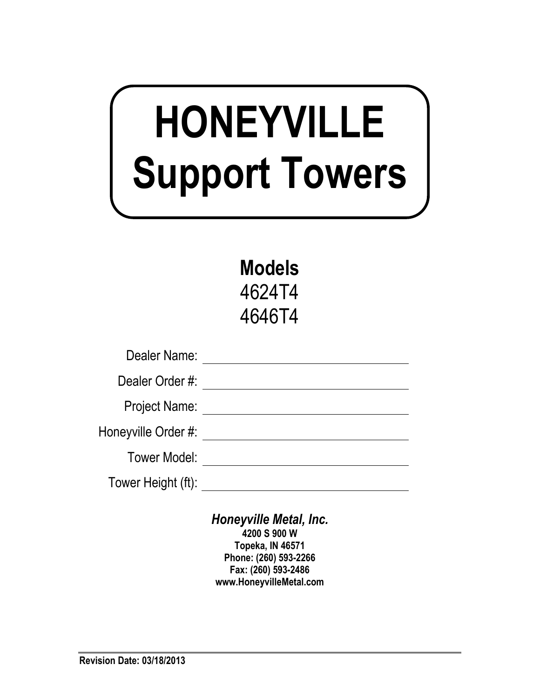# **HONEYVILLE Support Towers**

**Models**  4624T4 4646T4

| Dealer Name:         |  |
|----------------------|--|
| Dealer Order #:      |  |
| <b>Project Name:</b> |  |
| Honeyville Order #:  |  |
| Tower Model:         |  |
| Tower Height (ft):   |  |

*Honeyville Metal, Inc.*  **4200 S 900 W Topeka, IN 46571 Phone: (260) 593-2266 Fax: (260) 593-2486 www.HoneyvilleMetal.com**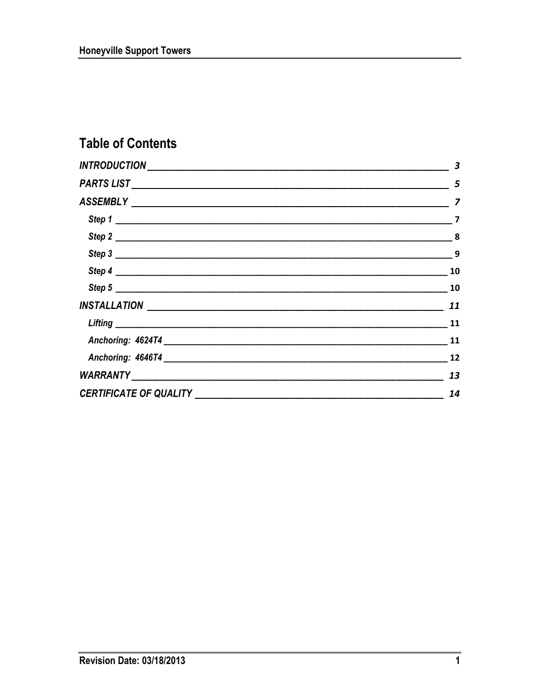## **Table of Contents**

|                                   | 3                        |
|-----------------------------------|--------------------------|
|                                   |                          |
|                                   | $\overline{\phantom{a}}$ |
|                                   |                          |
|                                   | $\sim$ 8                 |
|                                   |                          |
|                                   | 10                       |
|                                   | 10                       |
|                                   | 11                       |
|                                   | 11                       |
|                                   | 11                       |
|                                   | 12                       |
|                                   | 13                       |
| CERTIFICATE OF QUALITY __________ | 14                       |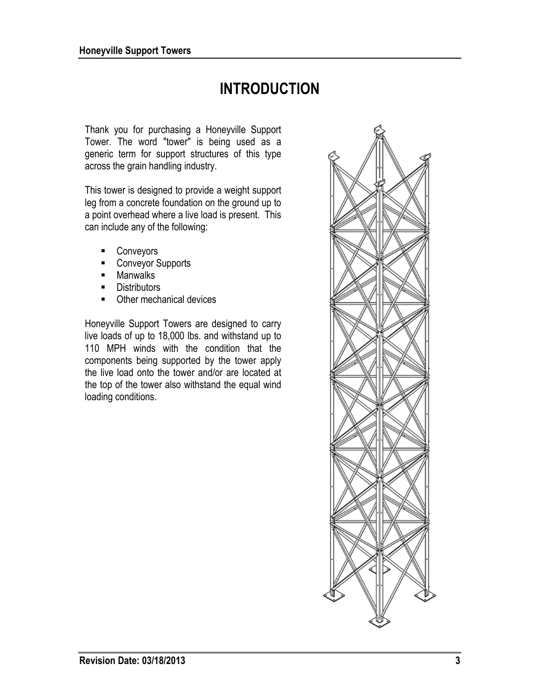# **INTRODUCTION**

Thank you for purchasing a Honeyville Support Tower. The word "tower" is being used as a generic term for support structures of this type across the grain handling industry.

This tower is designed to provide a weight support leg from a concrete foundation on the ground up to a point overhead where a live load is present. This can include any of the following:

- **Conveyors**
- Conveyor Supports
- **Manwalks**
- **Distributors**
- Other mechanical devices

Honeyville Support Towers are designed to carry live loads of up to 18,000 lbs. and withstand up to 110 MPH winds with the condition that the components being supported by the tower apply the live load onto the tower and/or are located at the top of the tower also withstand the equal wind loading conditions.

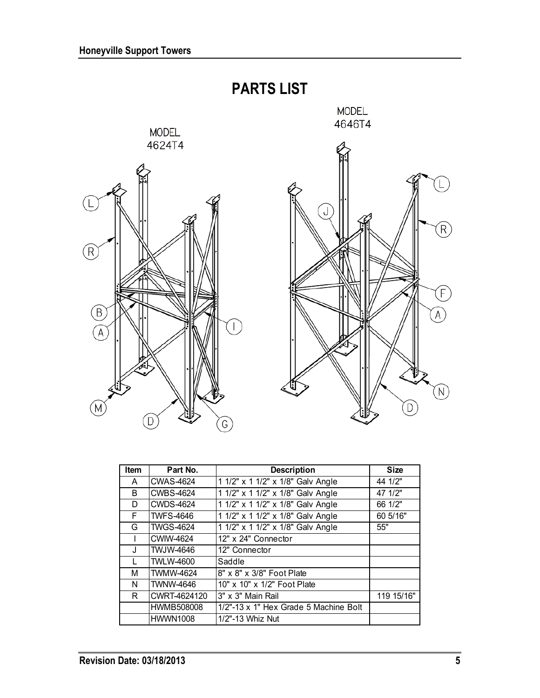

| Item | Part No.          | <b>Description</b>                    | <b>Size</b> |
|------|-------------------|---------------------------------------|-------------|
| A    | <b>CWAS-4624</b>  | 1 1/2" x 1 1/2" x 1/8" Galv Angle     | 44 1/2"     |
| B    | <b>CWBS-4624</b>  | 1 1/2" x 1 1/2" x 1/8" Galv Angle     | 47 1/2"     |
| D    | <b>CWDS-4624</b>  | 1 1/2" x 1 1/2" x 1/8" Galv Angle     | 66 1/2"     |
| F    | <b>TWFS-4646</b>  | 1 1/2" x 1 1/2" x 1/8" Galv Angle     | 60 5/16"    |
| G    | <b>TWGS-4624</b>  | 1 1/2" x 1 1/2" x 1/8" Galv Angle     | 55"         |
|      | <b>CWIW-4624</b>  | 12" x 24" Connector                   |             |
| J    | <b>TWJW-4646</b>  | 12" Connector                         |             |
|      | <b>TWLW-4600</b>  | Saddle                                |             |
| М    | <b>TWMW-4624</b>  | 8" x 8" x 3/8" Foot Plate             |             |
| N    | <b>TWNW-4646</b>  | 10" x 10" x 1/2" Foot Plate           |             |
| R    | CWRT-4624120      | 3" x 3" Main Rail                     | 119 15/16"  |
|      | <b>HWMB508008</b> | 1/2"-13 x 1" Hex Grade 5 Machine Bolt |             |
|      | <b>HWWN1008</b>   | 1/2"-13 Whiz Nut                      |             |

 $\bigcirc$ 

 $\left(\widehat{F}\right)$ 

 $\widehat{A}$ 

 $\left(\mathsf{N}\right)$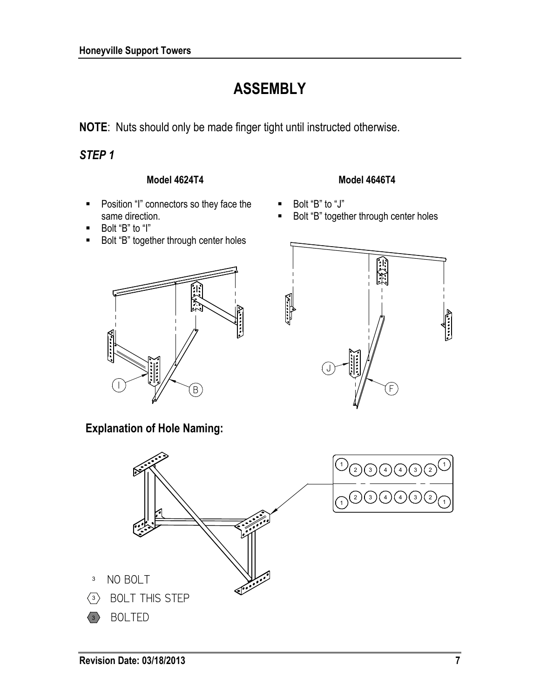# **ASSEMBLY**

**NOTE**: Nuts should only be made finger tight until instructed otherwise.

#### *STEP 1*

#### **Model 4624T4**

- **Position "I" connectors so they face the** same direction.
- Bolt "B" to "I"
- Bolt "B" together through center holes



#### **Model 4646T4**

- Bolt "B" to "J"
- Bolt "B" together through center holes



**Explanation of Hole Naming:** 

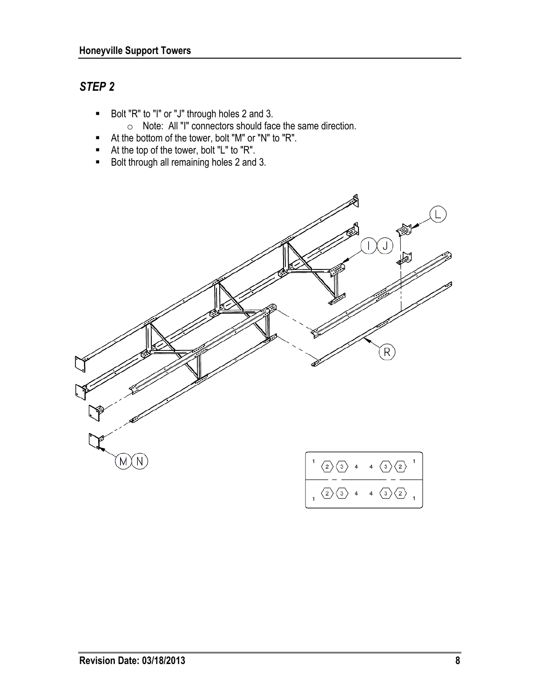### *STEP 2*

- Bolt "R" to "I" or "J" through holes 2 and 3.
	- o Note: All "I" connectors should face the same direction.
- At the bottom of the tower, bolt "M" or "N" to "R".
- At the top of the tower, bolt "L" to "R".
- Bolt through all remaining holes 2 and 3.

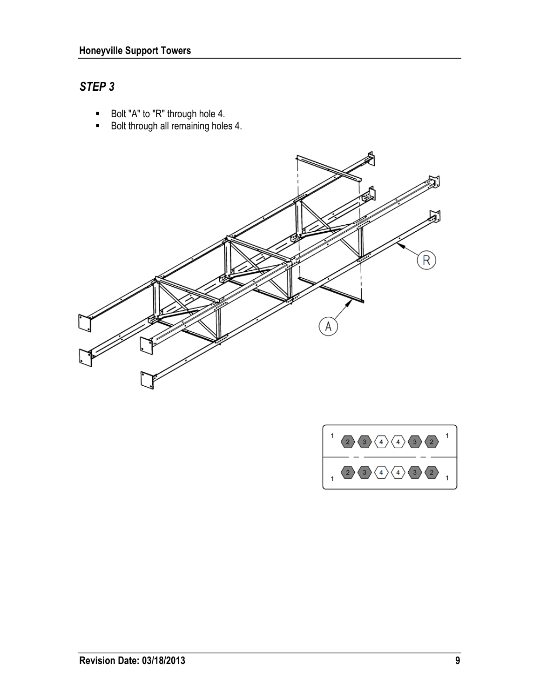#### *STEP 3*

- Bolt "A" to "R" through hole 4.
- Bolt through all remaining holes 4.



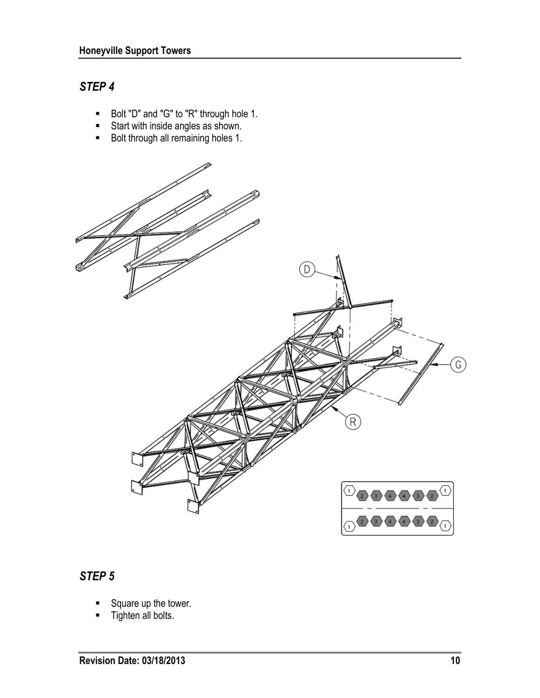#### *STEP 4*

- Bolt "D" and "G" to "R" through hole 1.
- **Start with inside angles as shown.**
- Bolt through all remaining holes 1.



#### *STEP 5*

- Square up the tower.
- **Tighten all bolts.**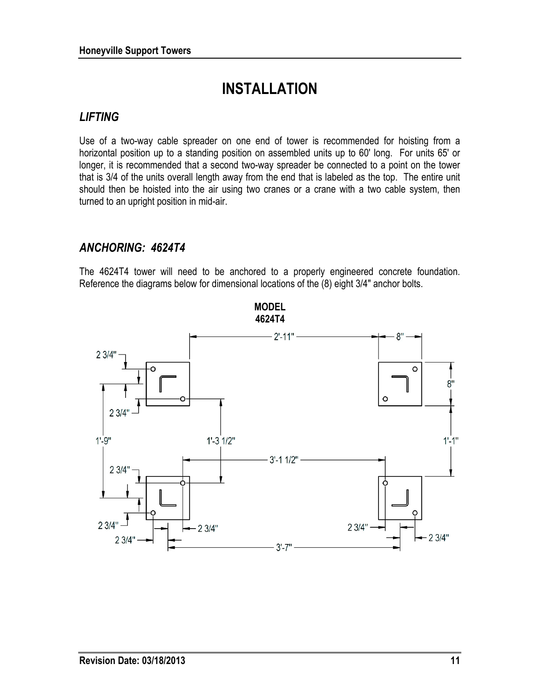## **INSTALLATION**

#### *LIFTING*

Use of a two-way cable spreader on one end of tower is recommended for hoisting from a horizontal position up to a standing position on assembled units up to 60' long. For units 65' or longer, it is recommended that a second two-way spreader be connected to a point on the tower that is 3/4 of the units overall length away from the end that is labeled as the top. The entire unit should then be hoisted into the air using two cranes or a crane with a two cable system, then turned to an upright position in mid-air.

#### *ANCHORING: 4624T4*

The 4624T4 tower will need to be anchored to a properly engineered concrete foundation. Reference the diagrams below for dimensional locations of the (8) eight 3/4" anchor bolts.

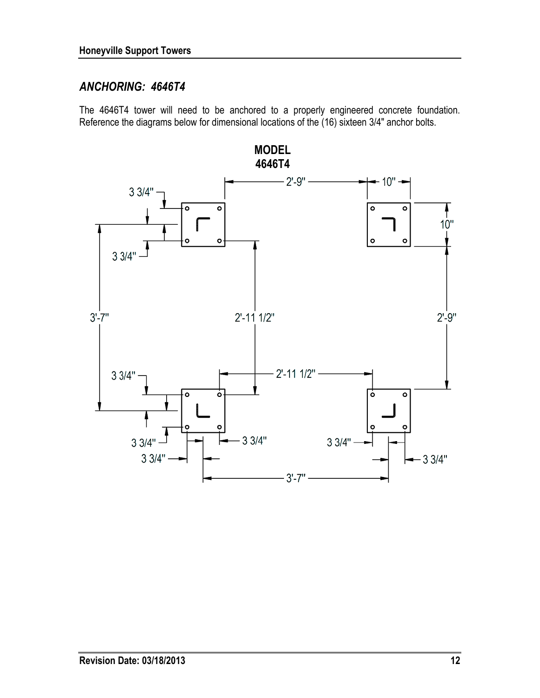#### *ANCHORING: 4646T4*

The 4646T4 tower will need to be anchored to a properly engineered concrete foundation. Reference the diagrams below for dimensional locations of the (16) sixteen 3/4" anchor bolts.

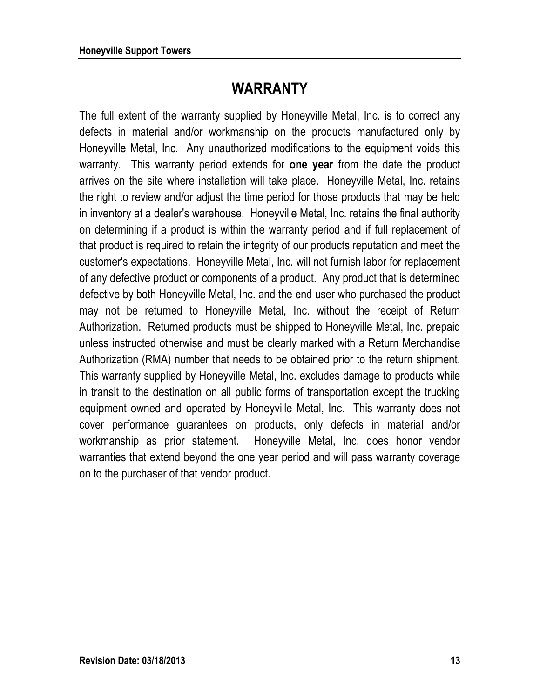## **WARRANTY**

The full extent of the warranty supplied by Honeyville Metal, Inc. is to correct any defects in material and/or workmanship on the products manufactured only by Honeyville Metal, Inc. Any unauthorized modifications to the equipment voids this warranty. This warranty period extends for **one year** from the date the product arrives on the site where installation will take place. Honeyville Metal, Inc. retains the right to review and/or adjust the time period for those products that may be held in inventory at a dealer's warehouse. Honeyville Metal, Inc. retains the final authority on determining if a product is within the warranty period and if full replacement of that product is required to retain the integrity of our products reputation and meet the customer's expectations. Honeyville Metal, Inc. will not furnish labor for replacement of any defective product or components of a product. Any product that is determined defective by both Honeyville Metal, Inc. and the end user who purchased the product may not be returned to Honeyville Metal, Inc. without the receipt of Return Authorization. Returned products must be shipped to Honeyville Metal, Inc. prepaid unless instructed otherwise and must be clearly marked with a Return Merchandise Authorization (RMA) number that needs to be obtained prior to the return shipment. This warranty supplied by Honeyville Metal, Inc. excludes damage to products while in transit to the destination on all public forms of transportation except the trucking equipment owned and operated by Honeyville Metal, Inc. This warranty does not cover performance guarantees on products, only defects in material and/or workmanship as prior statement. Honeyville Metal, Inc. does honor vendor warranties that extend beyond the one year period and will pass warranty coverage on to the purchaser of that vendor product.